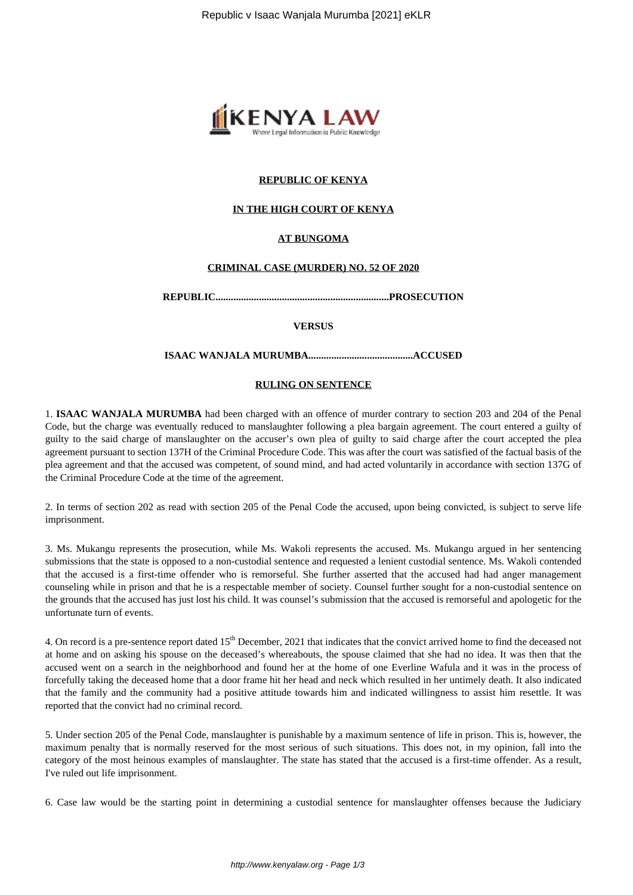

## **REPUBLIC OF KENYA**

#### **IN THE HIGH COURT OF KENYA**

## **AT BUNGOMA**

#### **CRIMINAL CASE (MURDER) NO. 52 OF 2020**

**REPUBLIC....................................................................PROSECUTION**

#### **VERSUS**

**ISAAC WANJALA MURUMBA.........................................ACCUSED**

#### **RULING ON SENTENCE**

1. **ISAAC WANJALA MURUMBA** had been charged with an offence of murder contrary to section 203 and 204 of the Penal Code, but the charge was eventually reduced to manslaughter following a plea bargain agreement. The court entered a guilty of guilty to the said charge of manslaughter on the accuser's own plea of guilty to said charge after the court accepted the plea agreement pursuant to section 137H of the Criminal Procedure Code. This was after the court was satisfied of the factual basis of the plea agreement and that the accused was competent, of sound mind, and had acted voluntarily in accordance with section 137G of the Criminal Procedure Code at the time of the agreement.

2. In terms of section 202 as read with section 205 of the Penal Code the accused, upon being convicted, is subject to serve life imprisonment.

3. Ms. Mukangu represents the prosecution, while Ms. Wakoli represents the accused. Ms. Mukangu argued in her sentencing submissions that the state is opposed to a non-custodial sentence and requested a lenient custodial sentence. Ms. Wakoli contended that the accused is a first-time offender who is remorseful. She further asserted that the accused had had anger management counseling while in prison and that he is a respectable member of society. Counsel further sought for a non-custodial sentence on the grounds that the accused has just lost his child. It was counsel's submission that the accused is remorseful and apologetic for the unfortunate turn of events.

4. On record is a pre-sentence report dated 15<sup>th</sup> December, 2021 that indicates that the convict arrived home to find the deceased not at home and on asking his spouse on the deceased's whereabouts, the spouse claimed that she had no idea. It was then that the accused went on a search in the neighborhood and found her at the home of one Everline Wafula and it was in the process of forcefully taking the deceased home that a door frame hit her head and neck which resulted in her untimely death. It also indicated that the family and the community had a positive attitude towards him and indicated willingness to assist him resettle. It was reported that the convict had no criminal record.

5. Under section 205 of the Penal Code, manslaughter is punishable by a maximum sentence of life in prison. This is, however, the maximum penalty that is normally reserved for the most serious of such situations. This does not, in my opinion, fall into the category of the most heinous examples of manslaughter. The state has stated that the accused is a first-time offender. As a result, I've ruled out life imprisonment.

6. Case law would be the starting point in determining a custodial sentence for manslaughter offenses because the Judiciary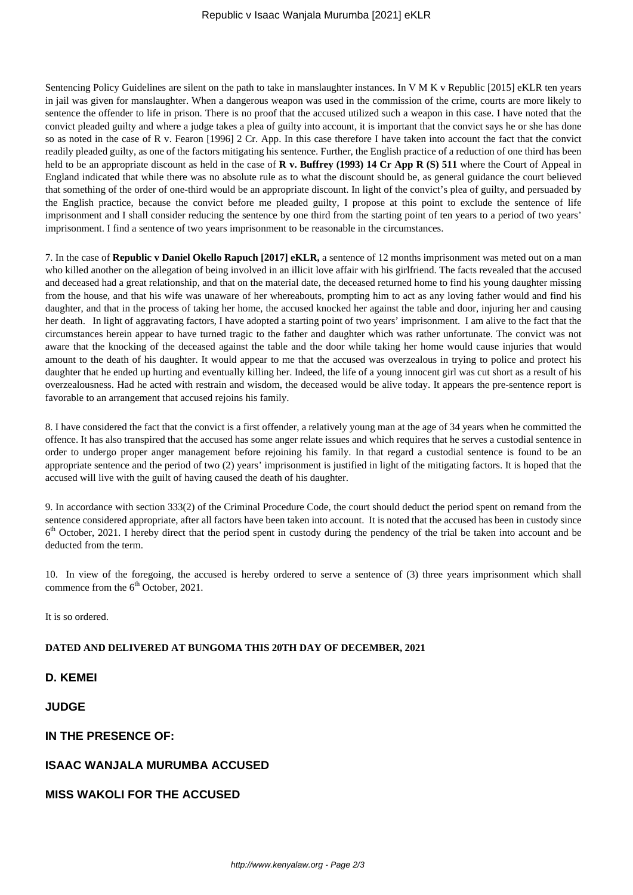Sentencing Policy Guidelines are silent on the path to take in manslaughter instances. In V M K v Republic [2015] eKLR ten years in jail was given for manslaughter. When a dangerous weapon was used in the commission of the crime, courts are more likely to sentence the offender to life in prison. There is no proof that the accused utilized such a weapon in this case. I have noted that the convict pleaded guilty and where a judge takes a plea of guilty into account, it is important that the convict says he or she has done so as noted in the case of R v. Fearon [1996] 2 Cr. App. In this case therefore I have taken into account the fact that the convict readily pleaded guilty, as one of the factors mitigating his sentence. Further, the English practice of a reduction of one third has been held to be an appropriate discount as held in the case of **R v. Buffrey (1993) 14 Cr App R (S) 511** where the Court of Appeal in England indicated that while there was no absolute rule as to what the discount should be, as general guidance the court believed that something of the order of one-third would be an appropriate discount. In light of the convict's plea of guilty, and persuaded by the English practice, because the convict before me pleaded guilty, I propose at this point to exclude the sentence of life imprisonment and I shall consider reducing the sentence by one third from the starting point of ten years to a period of two years' imprisonment. I find a sentence of two years imprisonment to be reasonable in the circumstances.

7. In the case of **Republic v Daniel Okello Rapuch [2017] eKLR,** a sentence of 12 months imprisonment was meted out on a man who killed another on the allegation of being involved in an illicit love affair with his girlfriend. The facts revealed that the accused and deceased had a great relationship, and that on the material date, the deceased returned home to find his young daughter missing from the house, and that his wife was unaware of her whereabouts, prompting him to act as any loving father would and find his daughter, and that in the process of taking her home, the accused knocked her against the table and door, injuring her and causing her death. In light of aggravating factors, I have adopted a starting point of two years' imprisonment. I am alive to the fact that the circumstances herein appear to have turned tragic to the father and daughter which was rather unfortunate. The convict was not aware that the knocking of the deceased against the table and the door while taking her home would cause injuries that would amount to the death of his daughter. It would appear to me that the accused was overzealous in trying to police and protect his daughter that he ended up hurting and eventually killing her. Indeed, the life of a young innocent girl was cut short as a result of his overzealousness. Had he acted with restrain and wisdom, the deceased would be alive today. It appears the pre-sentence report is favorable to an arrangement that accused rejoins his family.

8. I have considered the fact that the convict is a first offender, a relatively young man at the age of 34 years when he committed the offence. It has also transpired that the accused has some anger relate issues and which requires that he serves a custodial sentence in order to undergo proper anger management before rejoining his family. In that regard a custodial sentence is found to be an appropriate sentence and the period of two (2) years' imprisonment is justified in light of the mitigating factors. It is hoped that the accused will live with the guilt of having caused the death of his daughter.

9. In accordance with section 333(2) of the Criminal Procedure Code, the court should deduct the period spent on remand from the sentence considered appropriate, after all factors have been taken into account. It is noted that the accused has been in custody since 6<sup>th</sup> October, 2021. I hereby direct that the period spent in custody during the pendency of the trial be taken into account and be deducted from the term.

10. In view of the foregoing, the accused is hereby ordered to serve a sentence of (3) three years imprisonment which shall commence from the  $6<sup>th</sup>$  October, 2021.

It is so ordered.

#### **DATED AND DELIVERED AT BUNGOMA THIS 20TH DAY OF DECEMBER, 2021**

**D. KEMEI**

**JUDGE**

**IN THE PRESENCE OF:**

## **ISAAC WANJALA MURUMBA ACCUSED**

**MISS WAKOLI FOR THE ACCUSED**